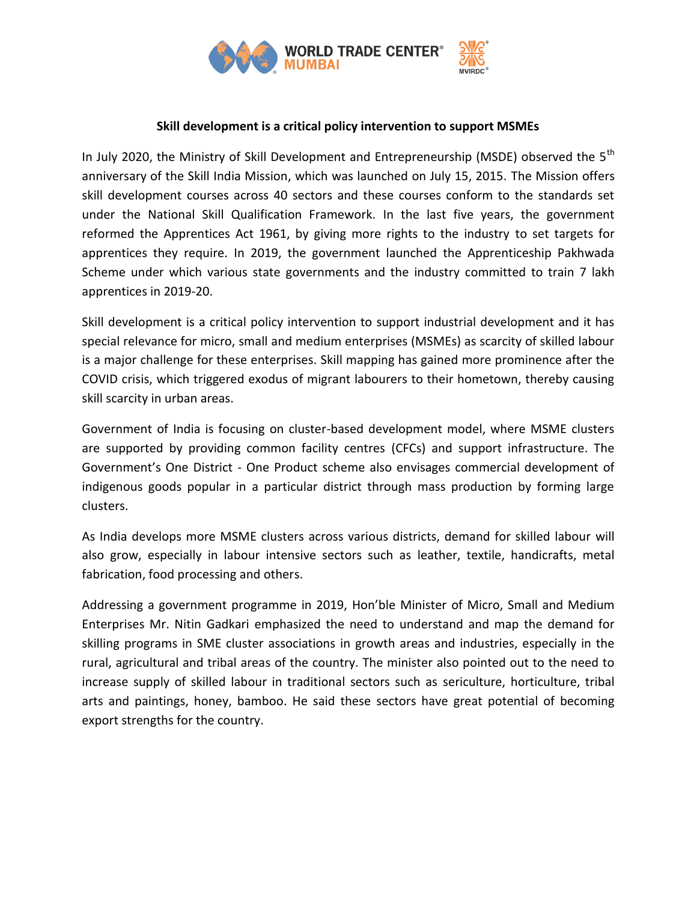

## **Skill development is a critical policy intervention to support MSMEs**

In July 2020, the Ministry of Skill Development and Entrepreneurship (MSDE) observed the 5<sup>th</sup> anniversary of the Skill India Mission, which was launched on July 15, 2015. The Mission offers skill development courses across 40 sectors and these courses conform to the standards set under the National Skill Qualification Framework. In the last five years, the government reformed the Apprentices Act 1961, by giving more rights to the industry to set targets for apprentices they require. In 2019, the government launched the Apprenticeship Pakhwada Scheme under which various state governments and the industry committed to train 7 lakh apprentices in 2019-20.

Skill development is a critical policy intervention to support industrial development and it has special relevance for micro, small and medium enterprises (MSMEs) as scarcity of skilled labour is a major challenge for these enterprises. Skill mapping has gained more prominence after the COVID crisis, which triggered exodus of migrant labourers to their hometown, thereby causing skill scarcity in urban areas.

Government of India is focusing on cluster-based development model, where MSME clusters are supported by providing common facility centres (CFCs) and support infrastructure. The Government's One District - One Product scheme also envisages commercial development of indigenous goods popular in a particular district through mass production by forming large clusters.

As India develops more MSME clusters across various districts, demand for skilled labour will also grow, especially in labour intensive sectors such as leather, textile, handicrafts, metal fabrication, food processing and others.

Addressing a government programme in 2019, Hon'ble Minister of Micro, Small and Medium Enterprises Mr. Nitin Gadkari emphasized the need to understand and map the demand for skilling programs in SME cluster associations in growth areas and industries, especially in the rural, agricultural and tribal areas of the country. The minister also pointed out to the need to increase supply of skilled labour in traditional sectors such as sericulture, horticulture, tribal arts and paintings, honey, bamboo. He said these sectors have great potential of becoming export strengths for the country.